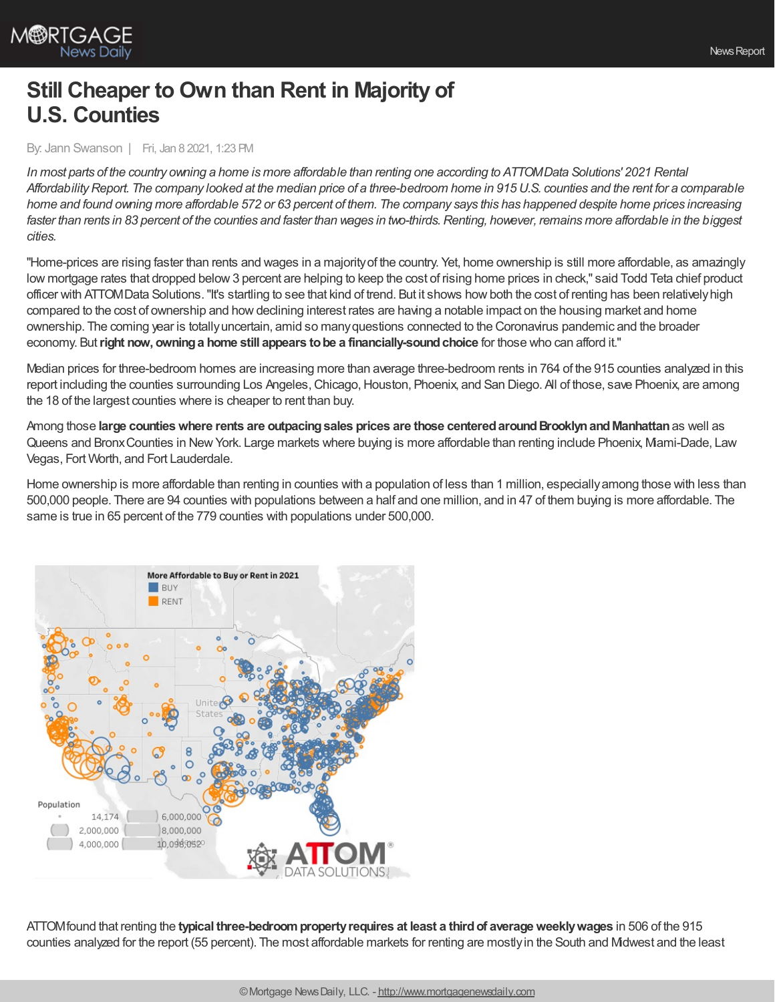

## **Still Cheaper to Own than Rent in Majority of U.S. Counties**

By: Jann Swanson | Fri, Jan 8 2021, 1:23 PM

In most parts of the country owning a home is more affordable than renting one according to ATTOMData Solutions' 2021 Rental Affordability Report. The company looked at the median price of a three-bedroom home in 915 U.S. counties and the rent for a comparable home and found owning more affordable 572 or 63 percent of them. The company says this has happened despite home prices increasing faster than rents in 83 percent of the counties and faster than wages in two-thirds. Renting, however, remains more affordable in the biggest *cities.*

"Home-prices are rising faster than rents and wages in a majorityof the country. Yet, home ownership is still more affordable, as amazingly low mortgage rates that dropped below3 percent are helping to keep the cost of rising home prices in check," said Todd Teta chief product officer with ATTOMData Solutions. "It's startling to see that kind of trend. But it shows how both the cost of renting has been relatively high compared to the cost of ownership and howdeclining interest rates are having a notable impact on the housing market and home ownership. The coming year is totallyuncertain, amid so manyquestions connected to the Coronavirus pandemic and the broader economy. But**right now, owninga home still appears tobe a financially-soundchoice** for those who can afford it."

Median prices for three-bedroom homes are increasing more than average three-bedroom rents in 764 of the 915 counties analyzed in this report including the counties surrounding Los Angeles, Chicago, Houston, Phoenix, and San Diego. All of those, save Phoenix, are among the 18 of the largest counties where is cheaper to rent than buy.

Among those **large countieswhere rents are outpacingsales prices are those centeredaroundBrooklynandManhattan**as well as Queens and BronxCounties in NewYork. Large markets where buying is more affordable than renting include Phoenix, Miami-Dade, Law Vegas, Fort Worth, and Fort Lauderdale.

Home ownership is more affordable than renting in counties with a population of less than 1 million, especially among those with less than 500,000 people. There are 94 counties with populations between a half and one million, and in 47 of them buying is more affordable. The same is true in 65 percent of the 779 counties with populations under 500,000.



ATTOMfound that renting the **typical three-bedroompropertyrequires at least a thirdof averageweeklywages** in 506 of the 915 counties analyzed for the report (55 percent). The most affordable markets for renting are mostlyin the South and Midwest and the least